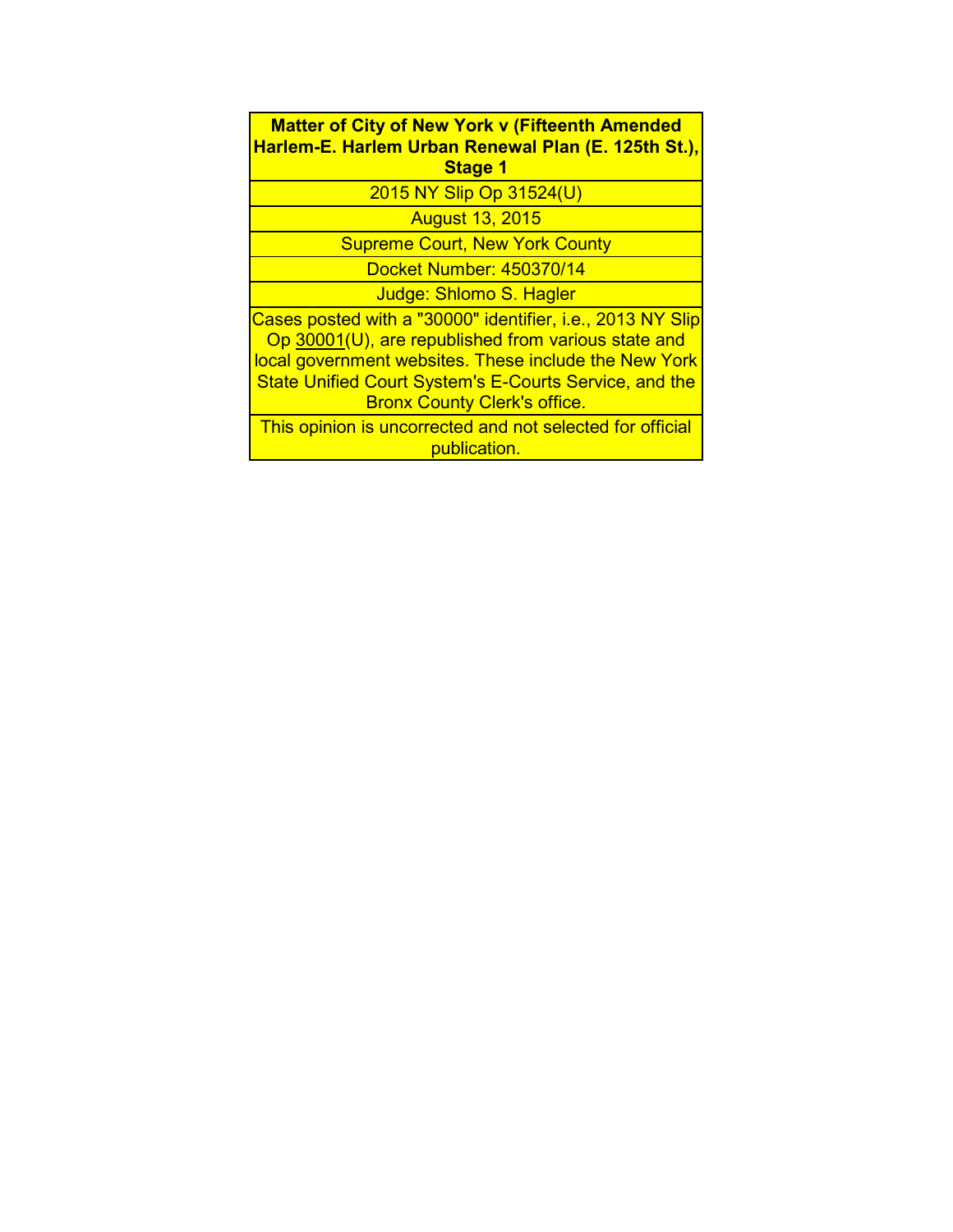**Matter of City of New York v (Fifteenth Amended Harlem-E. Harlem Urban Renewal Plan (E. 125th St.), Stage 1**

2015 NY Slip Op 31524(U)

August 13, 2015

Supreme Court, New York County

Docket Number: 450370/14

Judge: Shlomo S. Hagler

Cases posted with a "30000" identifier, i.e., 2013 NY Slip Op 30001(U), are republished from various state and local government websites. These include the New York State Unified Court System's E-Courts Service, and the Bronx County Clerk's office.

This opinion is uncorrected and not selected for official publication.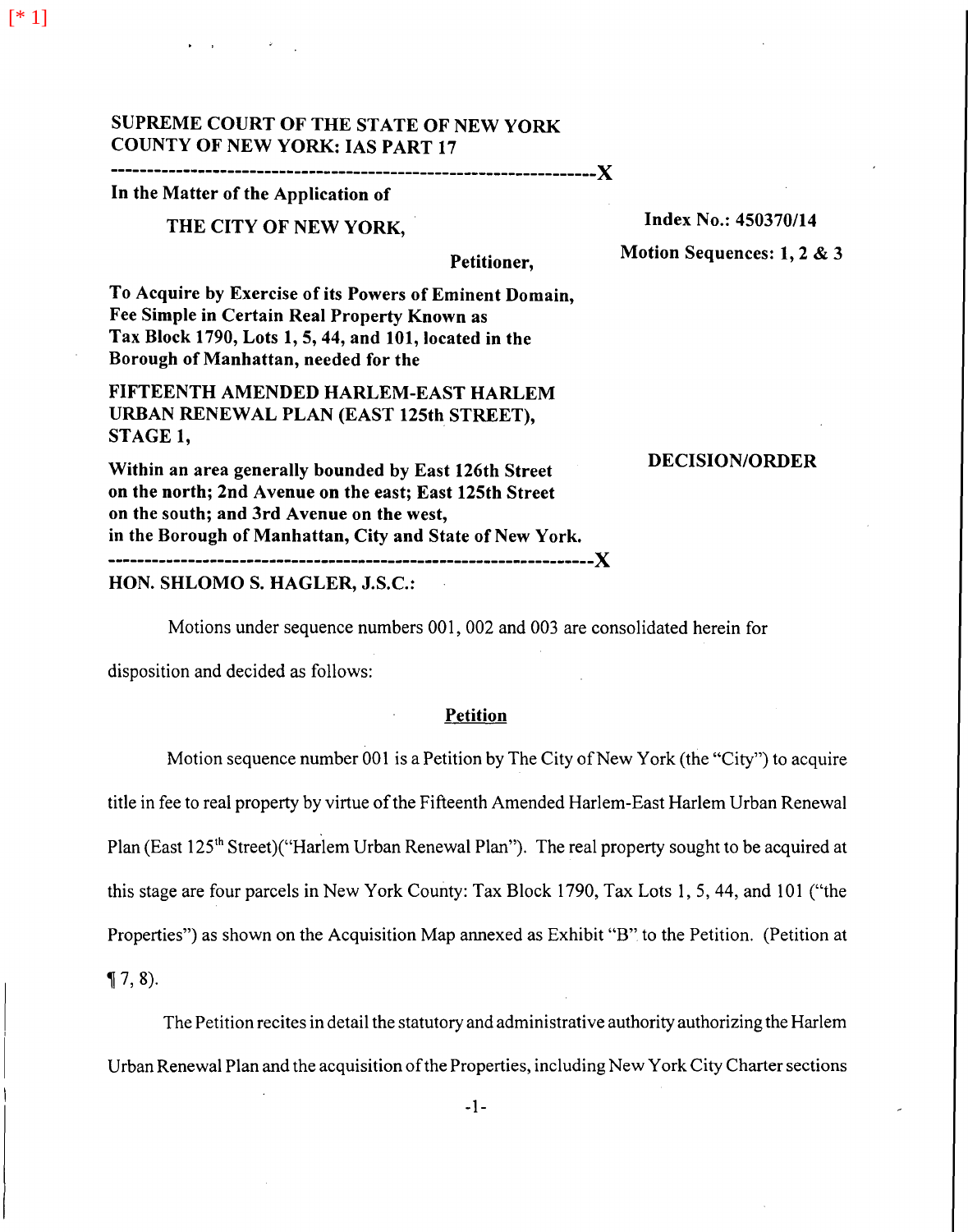[\* 1]

## SUPREME COURT OF THE STATE OF NEW YORK COUNTY OF NEW YORK: IAS PART 17

# ------------------------------------------------------------------)(

## In the Matter of the Application of

## THE CITY OF NEW YORK,

## Index No.: 450370/14

## Petitioner,

Motion Sequences: 1, 2 & 3

To Acquire by Exercise of its Powers of Eminent Domain, Fee Simple in Certain Real Property Known as Tax Block 1790, Lots 1, 5, 44, and 101, located in the Borough of Manhattan, needed for the

FIFTEENTH AMENDED HARLEM-EAST HARLEM URBAN RENEWAL PLAN (EAST 125th STREET), STAGE 1,

### DECISION/ORDER

Within an area generally bounded by East 126th Street on the north; 2nd Avenue on the east; East 125th Street on the south; and 3rd Avenue on the west, in the Borough of Manhattan, City and State of New York. ------------------------------------------------------------------)(

## HON. SHLOMO S. HAGLER, J.S.C.:

Motions under sequence numbers 001, 002 and 003 are consolidated herein for

disposition and decided as follows:

## Petition

Motion sequence number 001 is a Petition by The City of New York (the "City") to acquire title in fee to real property by virtue of the Fifteenth Amended Harlem-East Harlem Urban Renewal Plan (East 125<sup>th</sup> Street)("Harlem Urban Renewal Plan"). The real property sought to be acquired at this stage are four parcels in New York County: Tax Block 1790, Tax Lots 1, 5, 44, and 101 ("the Properties") as shown on the Acquisition Map annexed as Exhibit "B" to the Petition. (Petition at

 $\P 7, 8$ ).

The Petition recites in detail the statutory and administrative authority authorizing the Harlem Urban Renewal Plan and the acquisition of the Properties, including New York City Charter sections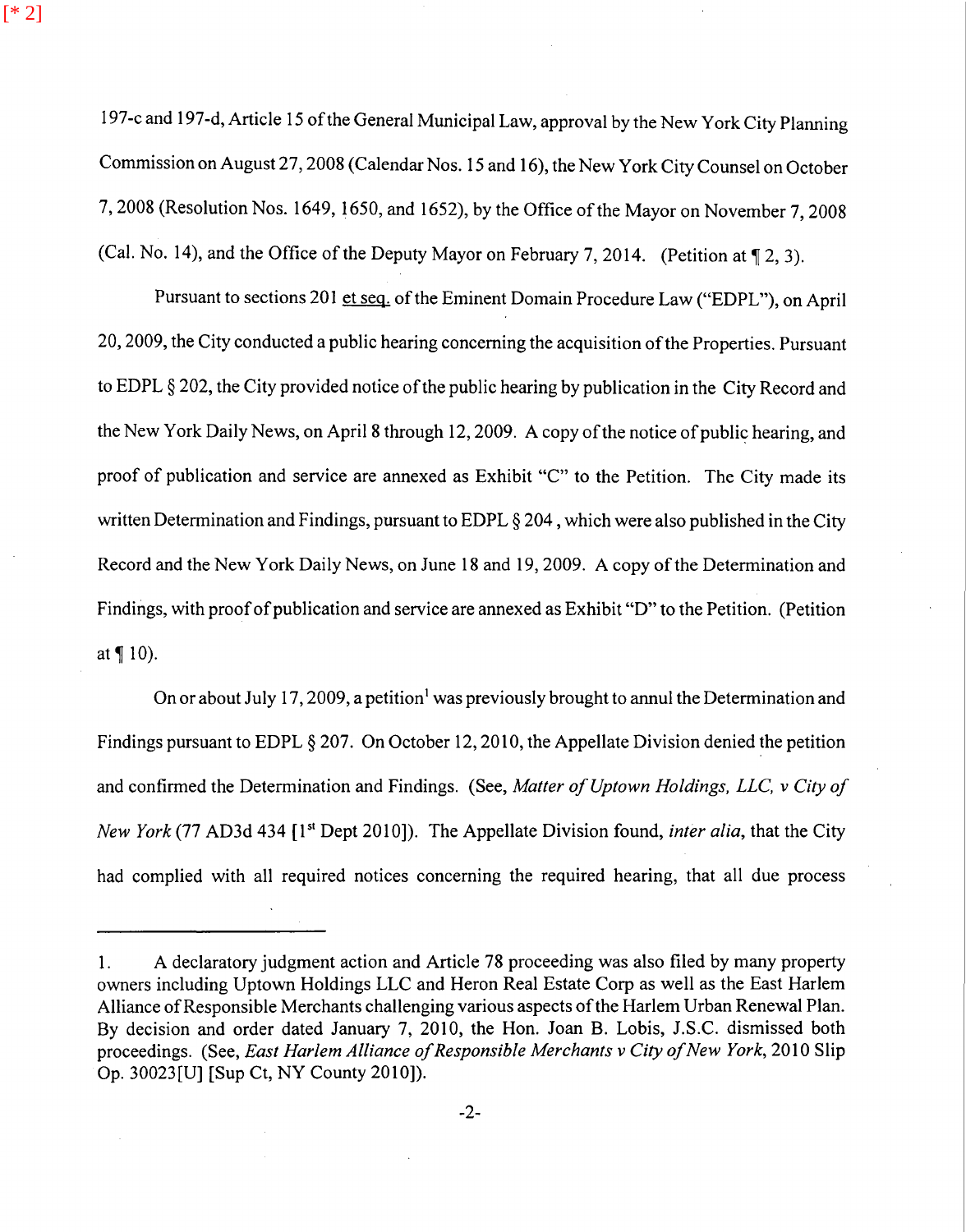[\* 2]

197-c and 197-d, Article 15 of the General Municipal Law, approval by the New York City Planning Commission on August 27, 2008 (Calendar Nos. 15 and 16), the New York City Counsel on October 7, 2008 (Resolution Nos. 1649, 1650, and 1652), by the Office of the Mayor on November 7, 2008 (Cal. No. 14), and the Office of the Deputy Mayor on February 7, 2014. (Petition at  $\P$  2, 3).

Pursuant to sections 201 et seq. of the Eminent Domain Procedure Law ("EDPL"), on April 20, 2009, the City conducted a public hearing concerning the acquisition of the Properties. Pursuant to EDPL § 202, the City provided notice of the public hearing by publication in the City Record and the New York Daily News, on April 8 through 12, 2009. A copy of the notice of public hearing, and proof of publication and service are annexed as Exhibit "C" to the Petition. The City made its written Determination and Findings, pursuant to EDPL § 204, which were also published in the City Record and the New York Daily News, on June 18 and 19, 2009. A copy of the Determination and Findings, with proof of publication and service are annexed as Exhibit "D" to the Petition. (Petition at  $\P$  10).

On or about July 17, 2009, a petition<sup>1</sup> was previously brought to annul the Determination and Findings pursuant to EDPL § 207. On October 12, 2010, the Appellate Division denied the petition and confirmed the Determination and Findings. (See, *Matter of Uptown Holdings, LLC, v City of New York* (77 AD3d 434 [1<sup>st</sup> Dept 2010]). The Appellate Division found, *inter alia*, that the City had complied with all required notices concerning the required hearing, that all due process

I. A declaratory judgment action and Article 78 proceeding was also filed by many property owners including Uptown Holdings LLC and Heron Real Estate Corp as well as the East Harlem Alliance of Responsible Merchants challenging various aspects of the Harlem Urban Renewal Plan. By decision and order dated January 7, 2010, the Hon. Joan B. Lobis, J.S.C. dismissed both proceedings. (See, *East Harlem Alliance of Responsible Merchants v City of New York*, 2010 Slip Op. 30023[U] [Sup Ct, NY County 2010]).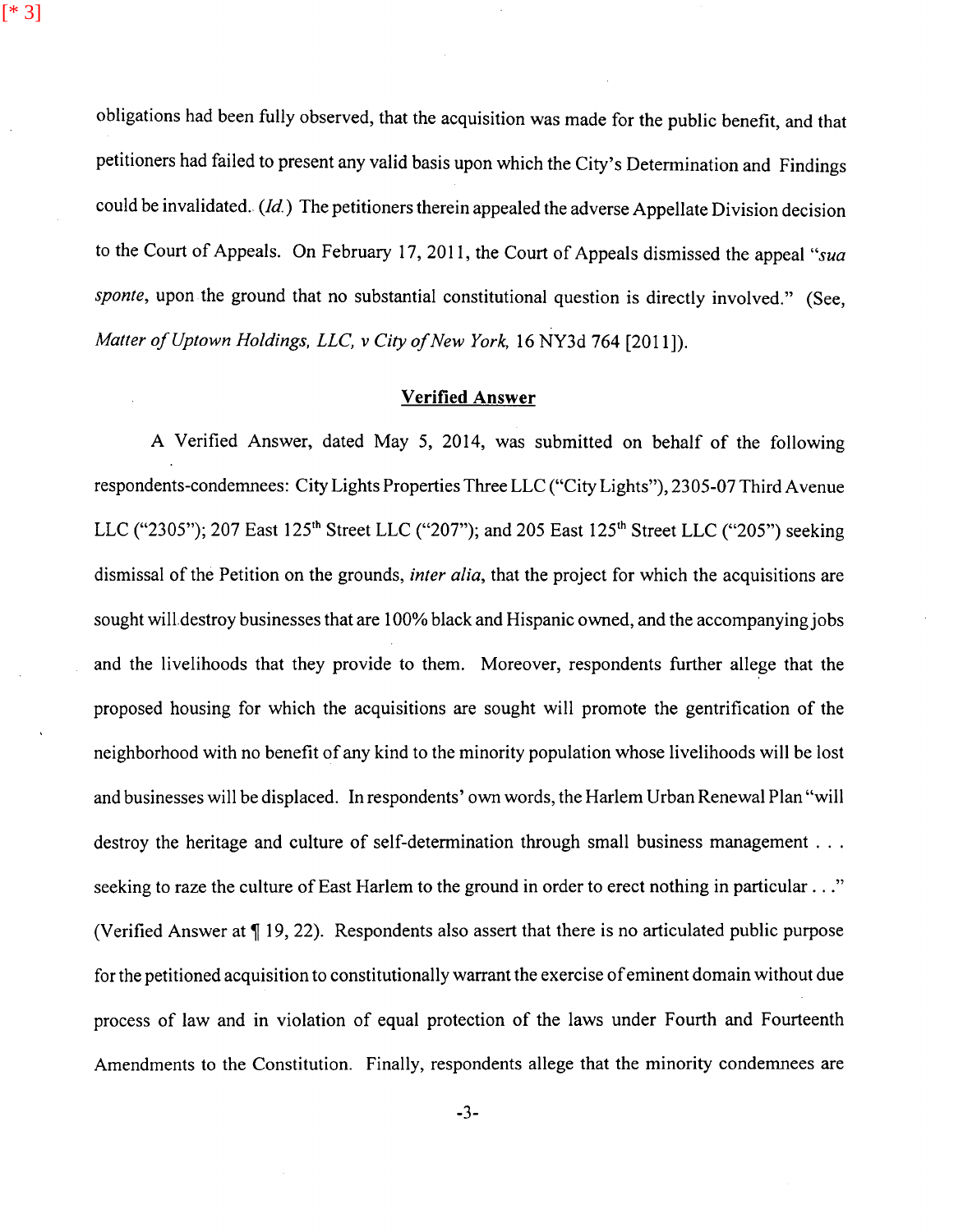obligations had been fully observed, that the acquisition was made for the public benefit, and that petitioners had failed to present any valid basis upon which the City's Determination and Findings could be invalidated. *(Id)* The petitioners therein appealed the adverse Appellate Division decision to the Court of Appeals. On February 17, 2011, the Court of Appeals dismissed the appeal *"sua sponte*, upon the ground that no substantial constitutional question is directly involved." (See, *Matter of Uptown Holdings, LLC, v City of New York,* 16 NY3d 764 [2011]).

[\* 3]

#### **Verified Answer**

A Verified Answer, dated May 5, 2014, was submitted on behalf of the following respondents-condemnees: City Lights Properties Three LLC ("City Lights"), 2305-07 Third Avenue LLC ("2305"); 207 East 125<sup>th</sup> Street LLC ("207"); and 205 East 125<sup>th</sup> Street LLC ("205") seeking dismissal of the Petition on the grounds, *inter alia,* that the project for which the acquisitions are sought will destroy businesses that are 100% black and Hispanic owned, and the accompanying jobs and the livelihoods that they provide to them. Moreover, respondents further allege that the proposed housing for which the acquisitions are sought will promote the gentrification of the neighborhood with no benefit of any kind to the minority population whose livelihoods will be lost and businesses will be displaced. In respondents' own words, the Harlem Urban Renewal Plan "will destroy the heritage and culture of self-determination through small business management ... seeking to raze the culture of East Harlem to the ground in order to erect nothing in particular ..." (Verified Answer at  $\P$  19, 22). Respondents also assert that there is no articulated public purpose for the petitioned acquisition to constitutionally warrant the exercise of eminent domain without due process of law and in violation of equal protection of the laws under Fourth and Fourteenth Amendments to the Constitution. Finally, respondents allege that the minority condemnees are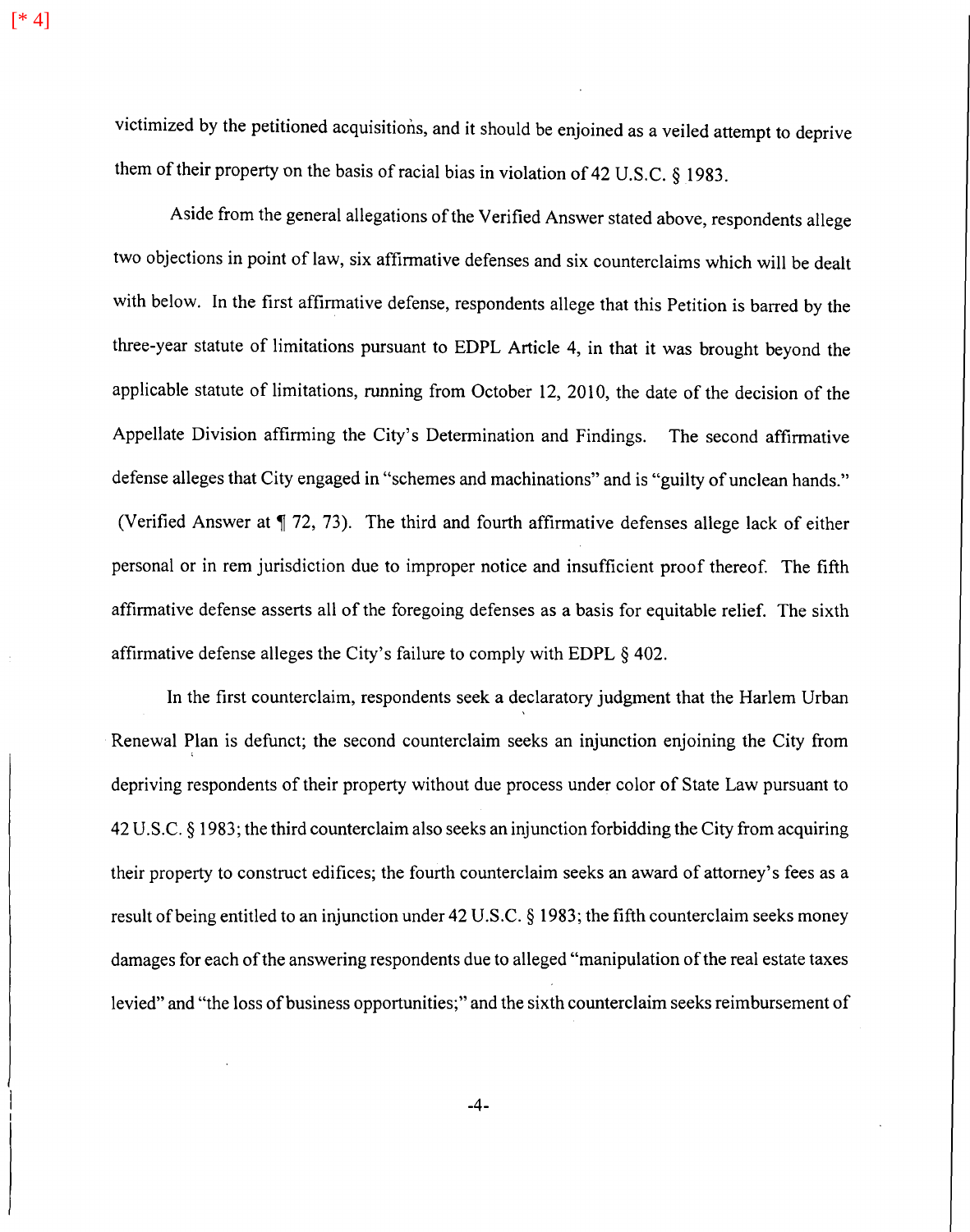victimized by the petitioned acquisitions, and it should be enjoined as a veiled attempt to deprive them of their property on the basis of racial bias in violation of 42 U.S.C. § 1983.

Aside from the general allegations of the Verified Answer stated above, respondents allege two objections in point of law, six affirmative defenses and six counterclaims which will be dealt with below. In the first affirmative defense, respondents allege that this Petition is barred by the three-year statute of limitations pursuant to EDPL Article 4, in that it was brought beyond the applicable statute of limitations, running from October 12, 2010, the date of the decision of the Appellate Division affirming the City's Determination and Findings. The second affirmative defense alleges that City engaged in "schemes and machinations" and is "guilty of unclean hands." (Verified Answer at  $\P$  72, 73). The third and fourth affirmative defenses allege lack of either personal or in rem jurisdiction due to improper notice and insufficient proof thereof. The fifth affirmative defense asserts all of the foregoing defenses as a basis for equitable relief. The sixth affirmative defense alleges the City's failure to comply with EDPL § 402.

In the first counterclaim, respondents seek a declaratory judgment that the Harlem Urban Renewal Plan is defunct; the second counterclaim seeks an injunction enjoining the City from depriving respondents of their property without due process under color of State Law pursuant to 42 U .S.C. § 1983; the third counterclaim also seeks an injunction forbidding the City from acquiring their property to construct edifices; the fourth counterclaim seeks an award of attorney's fees as a result of being entitled to an injunction under 42 U.S.C. § 1983; the fifth counterclaim seeks money damages for each of the answering respondents due to alleged "manipulation of the real estate taxes levied" and "the loss of business opportunities;" and the sixth counterclaim seeks reimbursement of

[\* 4]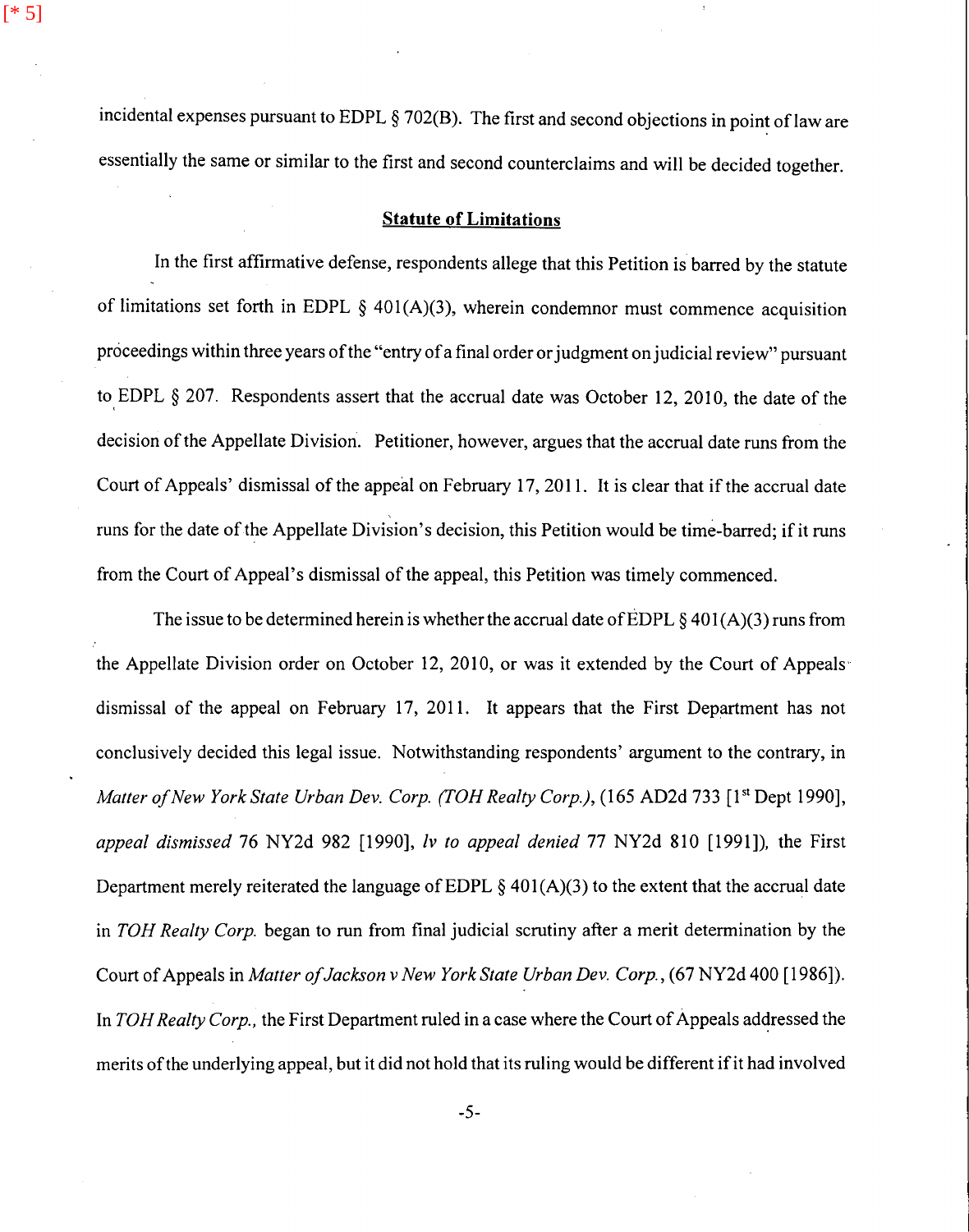incidental expenses pursuant to EDPL § 702(B). The first and second objections in point of law are essentially the same or similar to the first and second counterclaims and will be decided together.

[\* 5]

#### **Statute of Limitations**

In the first affirmative defense, respondents allege that this Petition is barred by the statute of limitations set forth in EDPL  $\S$  401(A)(3), wherein condemnor must commence acquisition proceedings within three years of the "entry of a final order or judgment on judicial review" pursuant to, EDPL § 207. Respondents assert that the accrual date was October 12, 2010, the date of the decision of the Appellate Division. Petitioner, however, argues that the accrual date runs from the Court of Appeals' dismissal of the appeal on February 17, 2011. It is clear that if the accrual date runs for the date of the Appellate Division's decision, this Petition would be time-barred; if it runs from the Court of Appeal's dismissal of the appeal, this Petition was timely commenced.

The issue to be determined herein is whether the accrual date of EDPL  $\S 401(A)(3)$  runs from the Appellate Division order on October 12, 2010, or was it extended by the Court of Appeals dismissal of the appeal on February 17, 2011. It appears that the First Department has not conclusively decided this legal issue. Notwithstanding respondents' argument to the contrary, in *Matter of New York State Urban Dev. Corp. (TOH Realty Corp.),* (165 AD2d 733 [1<sup>st</sup> Dept 1990], *appeal dismissed* 76 NY2d 982 [1990], *Iv to appeal denied* 77 NY2d 810 [1991]), the First Department merely reiterated the language of EDPL  $\delta$  401(A)(3) to the extent that the accrual date in *TOH Realty Corp.* began to run from final judicial scrutiny after a merit determination by the Court of Appeals in *Matter of Jackson v New York State Urban Dev. Corp.,* (67 NY2d 400 [1986]). In *TOH Realty Corp.*, the First Department ruled in a case where the Court of Appeals addressed the merits of the underlying appeal, but it did not hold that its ruling would be different if it had involved

-5-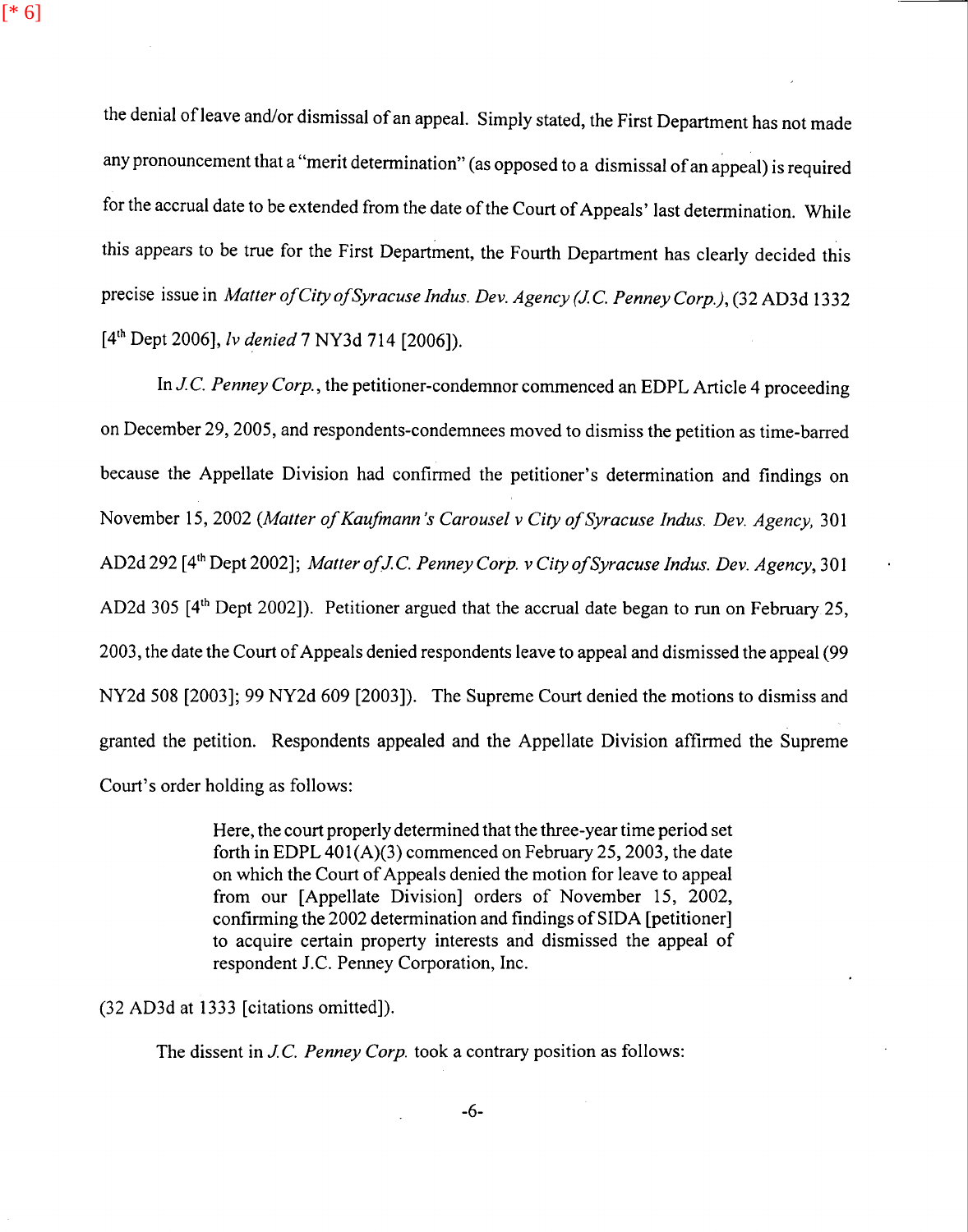$[ * 6]$ 

the denial of leave and/or dismissal of an appeal. Simply stated, the First Department has not made any pronouncement that a "merit determination" (as opposed to a dismissal of an appeal) is required for the accrual date to be extended from the date of the Court of Appeals' last determination. While this appears to be true for the First Department, the Fourth Department has clearly decided this precise issue in *Matter of City of Syracuse Indus. Dev. Agency (JC. Penney Corp.),* (32 AD3d 1332 [4th Dept 2006], *Iv denied* 7 NY3d 714 [2006]).

In *JC. Penney Corp.,* the petitioner-condemnor commenced an EDPL Article 4 proceeding on December 29, 2005, and respondents-condemnees moved to dismiss the petition as time-barred because the Appellate Division had confirmed the petitioner's determination and findings on November 15, 2002 *(Matter of Kaufmann 's Carousel v City of Syracuse Indus. Dev. Agency,* 301 AD2d 292 [4th Dept 2002]; *Matter ofJ* C. *Penney Corp. v City of Syracuse Indus. Dev. Agency,* 301 AD2d 305 [4<sup>th</sup> Dept 2002]). Petitioner argued that the accrual date began to run on February 25, 2003, the date the Court of Appeals denied respondents leave to appeal and dismissed the appeal (99 NY2d 508 [2003]; 99 NY2d 609 [2003]). The Supreme Court denied the motions to dismiss and granted the petition. Respondents appealed and the Appellate Division affirmed the Supreme Court's order holding as follows:

> Here, the court properly determined that the three-year time period set forth in EDPL 401(A)(3) commenced on February 25, 2003, the date on which the Court of Appeals denied the motion for leave to appeal from our [Appellate Division] orders of November 15, 2002, confirming the 2002 determination and findings of SIDA [petitioner] to acquire certain property interests and dismissed the appeal of respondent J.C. Penney Corporation, Inc.

(32 AD3d at 1333 [citations omitted]).

The dissent in *JC. Penney Corp.* took a contrary position as follows: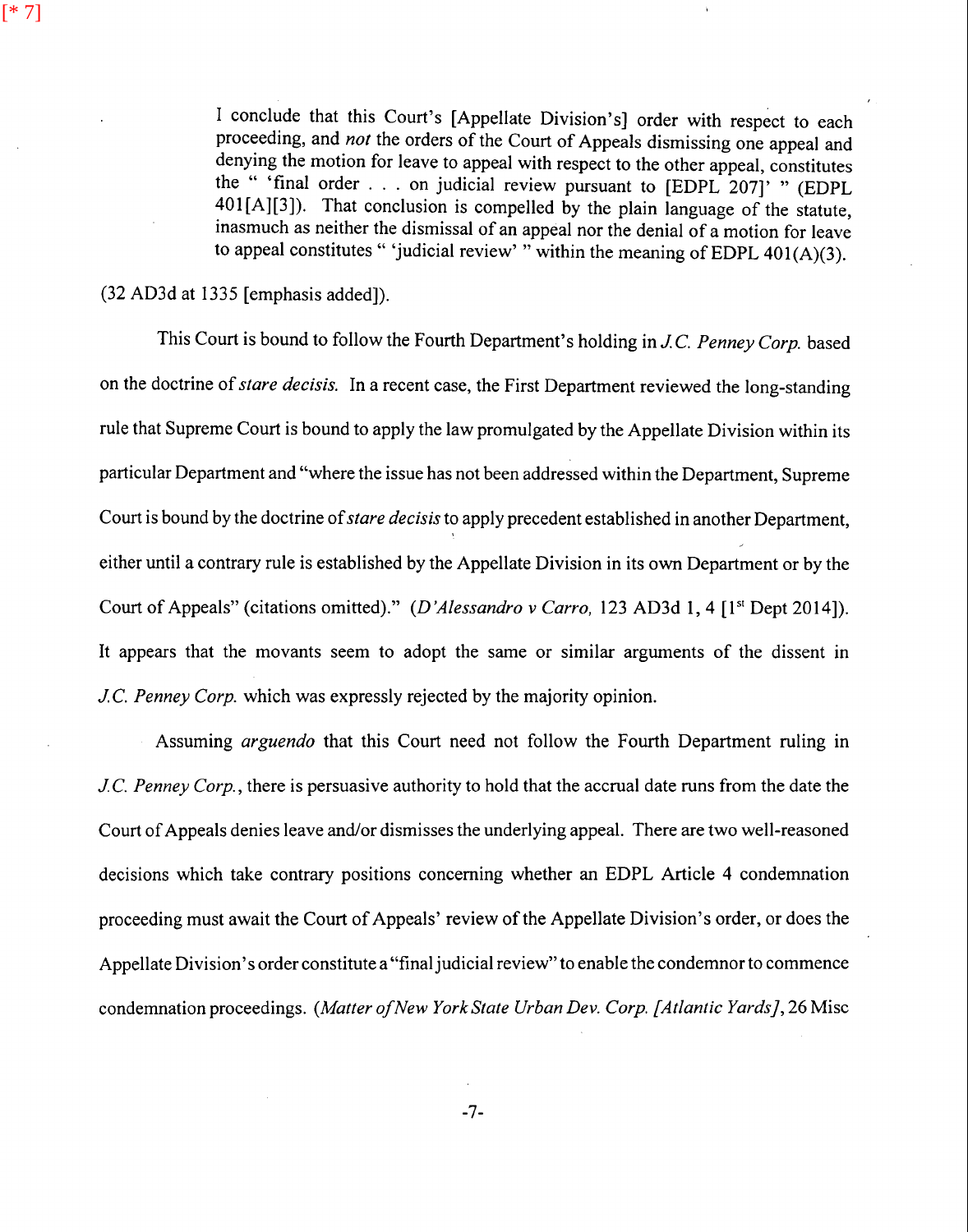I conclude that this Court's [Appellate Division's] order with respect to each proceeding, and *not* the orders of the Court of Appeals dismissing one appeal and denying the motion for leave to appeal with respect to the other appeal, constitutes the " 'final order ... on judicial review pursuant to [EDPL 207]' " (EDPL 401 $[A][3]$ ). That conclusion is compelled by the plain language of the statute, inasmuch as neither the dismissal of an appeal nor the denial of a motion for leave to appeal constitutes " 'judicial review' " within the meaning of EDPL 401(A)(3).

(32 AD3d at 1335 [emphasis added]).

This Court is bound to follow the Fourth Department's holding in *JC. Penney Corp.* based on the doctrine of *stare dee is is.* In a recent case, the First Department reviewed the long-standing rule that Supreme Court is bound to apply the law promulgated by the Appellate Division within its particular Department and "where the issue has not been addressed within the Department, Supreme Court is bound by the doctrine of *stare decisis* to apply precedent established in another Department, either until a contrary rule is established by the Appellate Division in its own Department or by the Court of Appeals" (citations omitted)." *(D'Alessandro v Carro, 123 AD3d 1, 4 [1<sup>st</sup> Dept 2014]).* It appears that the movants seem to adopt the same or similar arguments of the dissent in *JC. Penney Corp.* which was expressly rejected by the majority opinion.

Assuming *arguendo* that this Court need not follow the Fourth Department ruling in *JC. Penney Corp.,* there is persuasive authority to hold that the accrual date runs from the date the Court of Appeals denies leave and/or dismisses the underlying appeal. There are two well-reasoned decisions which take contrary positions concerning whether an EDPL Article 4 condemnation proceeding must await the Court of Appeals' review of the Appellate Division's order, or does the Appellate Division's order constitute a "final judicial review" to enable the condemnor to commence condemnation proceedings. *(Matter of New York State Urban Dev. Corp. [Atlantic Yards],* 26 Misc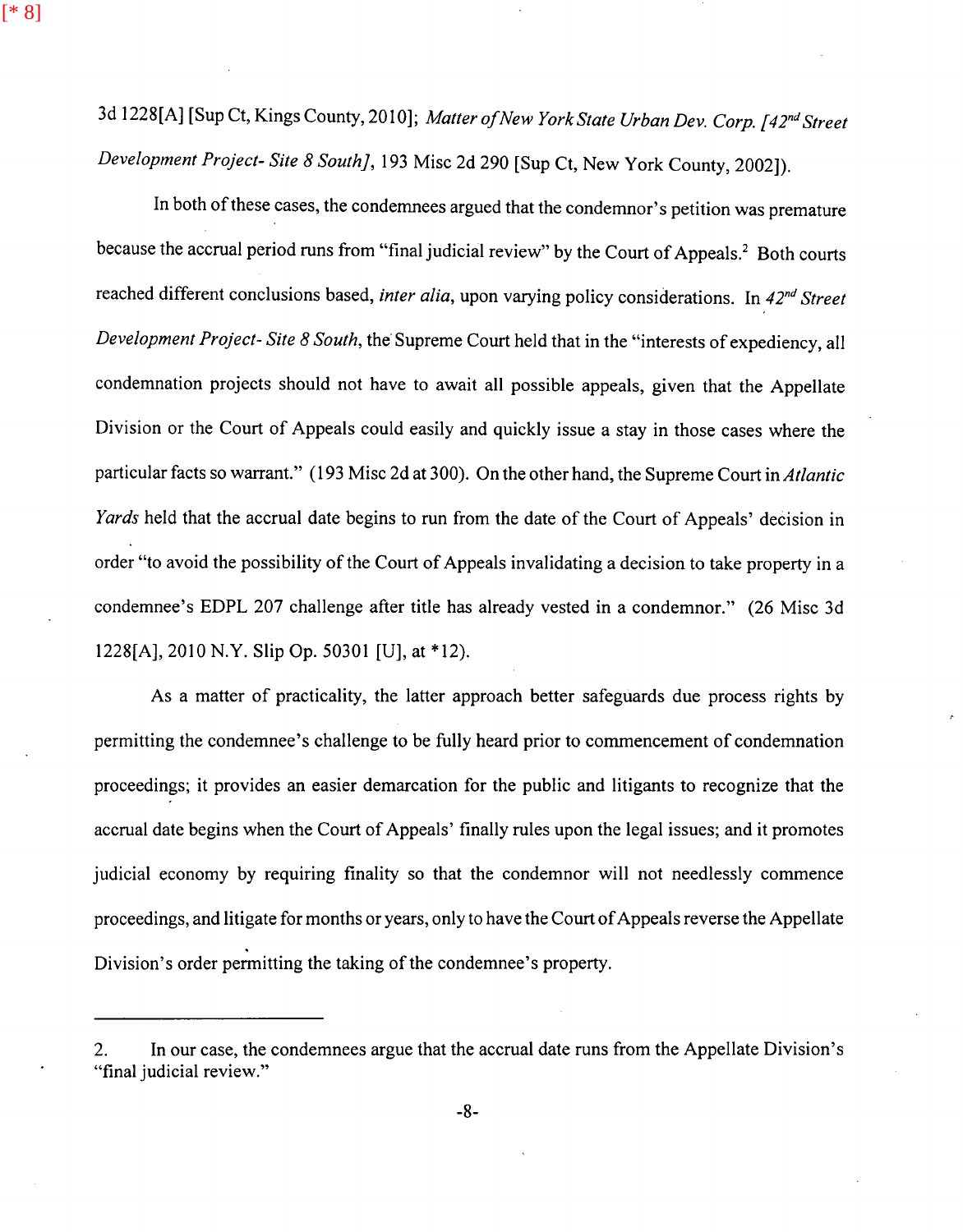3d 1228[A] [Sup Ct, Kings County, 2010]; *Matter of New York State Urban Dev. Corp. [42nd Street Development Project- Site 8 South],* 193 Misc 2d 290 [Sup Ct, New York County, 2002]).

[\* 8]

In both of these cases, the condemnees argued that the condemnor's petition was premature because the accrual period runs from "final judicial review" by the Court of Appeals.<sup>2</sup> Both courts reached different conclusions based, *inter alia,* upon varying policy considerations. In *42nd Street Development Project-Site 8 South*, the Supreme Court held that in the "interests of expediency, all condemnation projects should not have to await all possible appeals, given that the Appellate Division or the Court of Appeals could easily and quickly issue a stay in those cases where the particular facts so warrant." (193 Misc 2d at 300). On the other hand, the Supreme Court in *Atlantic Yards* held that the accrual date begins to run from the date of the Court of Appeals' decision in order "to avoid the possibility of the Court of Appeals invalidating a decision to take property in a condemnee's EDPL 207 challenge after title has already vested in a condemner." (26 Misc 3d 1228[A], 2010 N.Y. Slip Op. 50301 [U], at \*12).

As a matter of practicality, the latter approach better safeguards due process rights by permitting the condemnee's challenge to be fully heard prior to commencement of condemnation proceedings; it provides an easier demarcation for the public and litigants to recognize that the accrual date begins when the Court of Appeals' finally rules upon the legal issues; and it promotes judicial economy by requiring finality so that the condemnor will not needlessly commence proceedings, and litigate for months or years, only to have the Court of Appeals reverse the Appellate Division's order permitting the taking of the condemnee's property.

<sup>2.</sup> In our case, the condemnees argue that the accrual date runs from the Appellate Division's "final judicial review."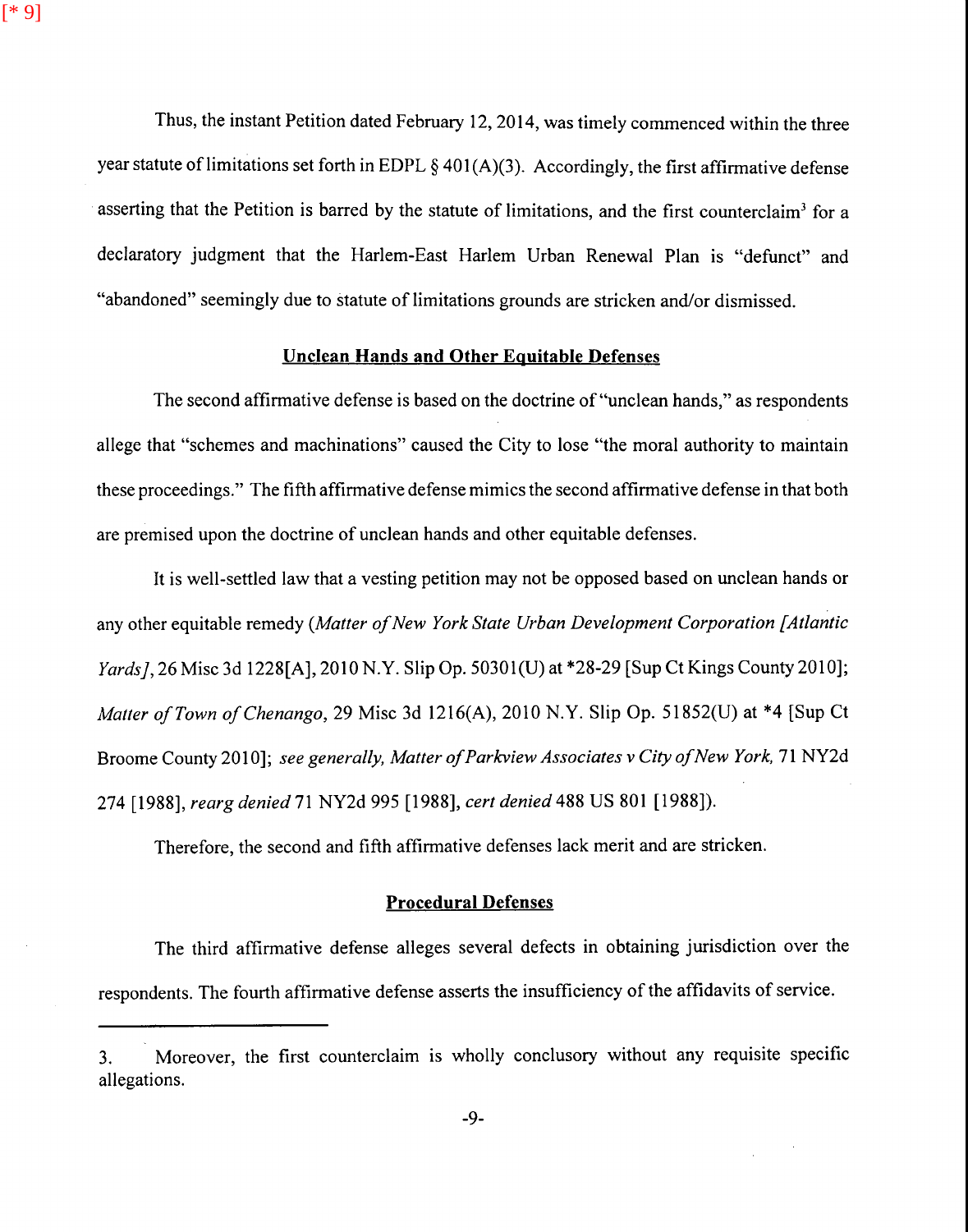[\* 9]

Thus, the instant Petition dated February 12, 2014, was timely commenced within the three year statute of limitations set forth in EDPL  $\S$  401(A)(3). Accordingly, the first affirmative defense asserting that the Petition is barred by the statute of limitations, and the first counterclaim<sup>3</sup> for a declaratory judgment that the Harlem-East Harlem Urban Renewal Plan is "defunct" and "abandoned" seemingly due to statute of limitations grounds are stricken and/or dismissed.

## **Unclean Hands and Other Equitable Defenses**

The second affirmative defense is based on the doctrine of"unclean hands," as respondents allege that "schemes and machinations" caused the City to lose "the moral authority to maintain these proceedings." The fifth affirmative defense mimics the second affirmative defense in that both are premised upon the doctrine of unclean hands and other equitable defenses.

It is well-settled law that a vesting petition may not be opposed based on unclean hands or any other equitable remedy *(Matter of New York State Urban Development Corporation [Atlantic Yards],* 26 Misc 3d 1228[A], 2010 N.Y. Slip Op. 50301(U) at \*28-29 [Sup Ct Kings County 2010]; *Matter ofTown of Chenango,* 29 Misc 3d 1216(A), 2010 N.Y. Slip Op. 51852(U) at \*4 [Sup Ct Broome County 2010]; see generally, Matter of Parkview Associates v City of New York, 71 NY2d 274 [1988], *reargdenied71NY2d995* [1988], *certdenied488* US 801 [1988]).

Therefore, the second and fifth affirmative defenses lack merit and are stricken.

### **Procedural Defenses**

The third affirmative defense alleges several defects in obtaining jurisdiction over the respondents. The fourth affirmative defense asserts the insufficiency of the affidavits of service.

<sup>3.</sup> Moreover, the first counterclaim is wholly conclusory without any requisite specific allegations.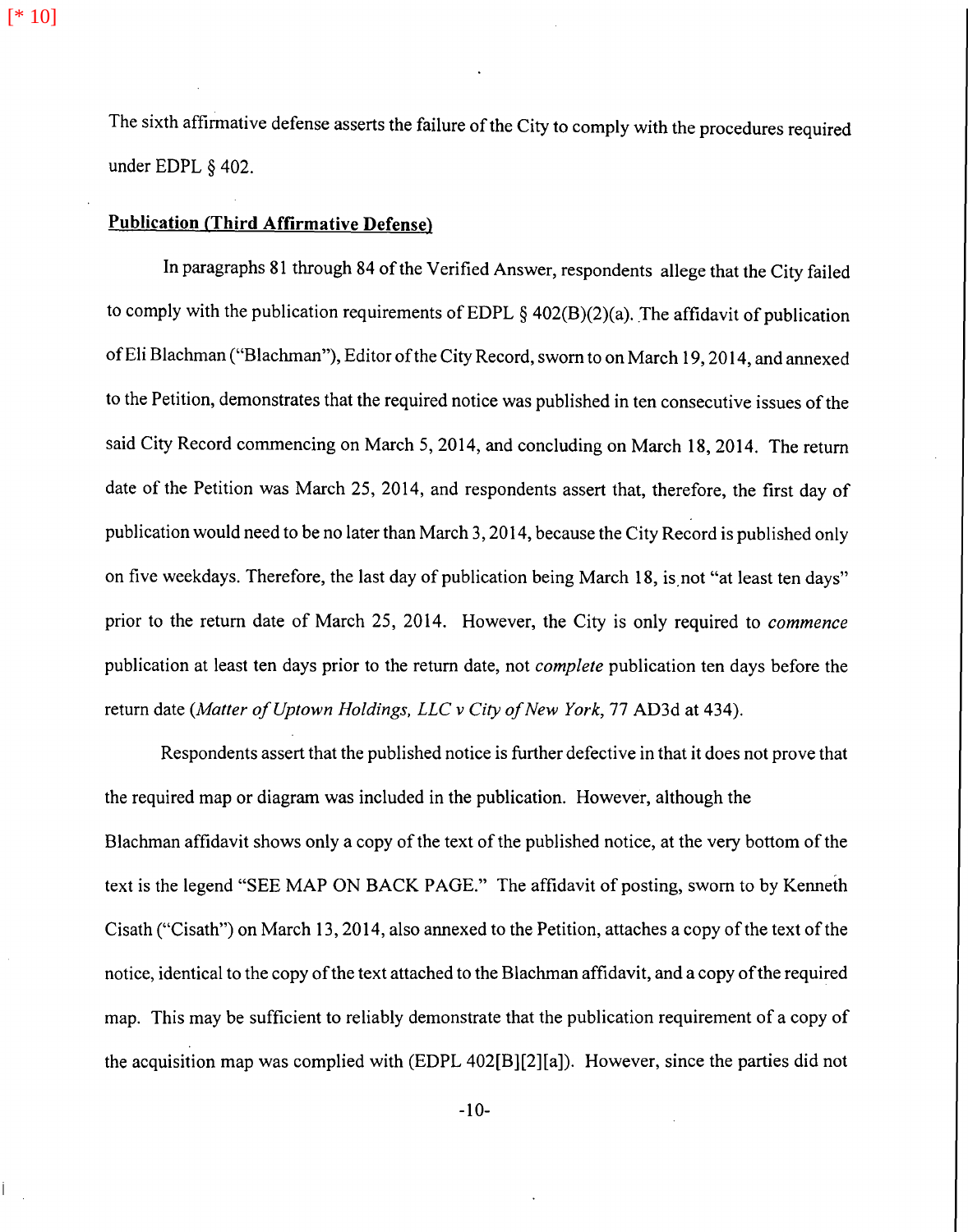[\* 10]

The sixth affirmative defense asserts the failure of the City to comply with the procedures required under EDPL § 402.

## **Publication (Third Affirmative Defense)**

In paragraphs 81 through 84 of the Verified Answer, respondents allege that the City failed to comply with the publication requirements of EDPL § 402(B)(2)(a). The affidavit of publication of Eli Blachman ("Blachman"), Editor of the City Record, sworn to on March 19, 2014, and annexed to the Petition, demonstrates that the required notice was published in ten consecutive issues of the said City Record commencing on March 5, 2014, and concluding on March 18, 2014. The return date of the Petition was March 25, 2014, and respondents assert that, therefore, the first day of publication would need to be no later than March 3, 2014, because the City Record is published only on five weekdays. Therefore, the last day of publication being March 18, is.not "at least ten days" prior to the return date of March 25, 2014. However, the City is only required to *commence*  publication at least ten days prior to the return date, not *complete* publication ten days before the return date *(Matter of Uptown Holdings, LLC v City of New York, 77 AD3d at 434)*.

Respondents assert that the published notice is further defective in that it does not prove that the required map or diagram was included in the publication. However, although the Blachman affidavit shows only a copy of the text of the published notice, at the very bottom of the text is the legend "SEE MAP ON BACK PAGE." The affidavit of posting, sworn to by Kenneth Cisath ("Cisath") on March 13, 2014, also annexed to the Petition, attaches a copy of the text of the notice, identical to the copy of the text attached to the Blachman affidavit, and a copy of the required map. This may be sufficient to reliably demonstrate that the publication requirement of a copy of the acquisition map was complied with (EDPL 402[B][2][a]). However, since the parties did not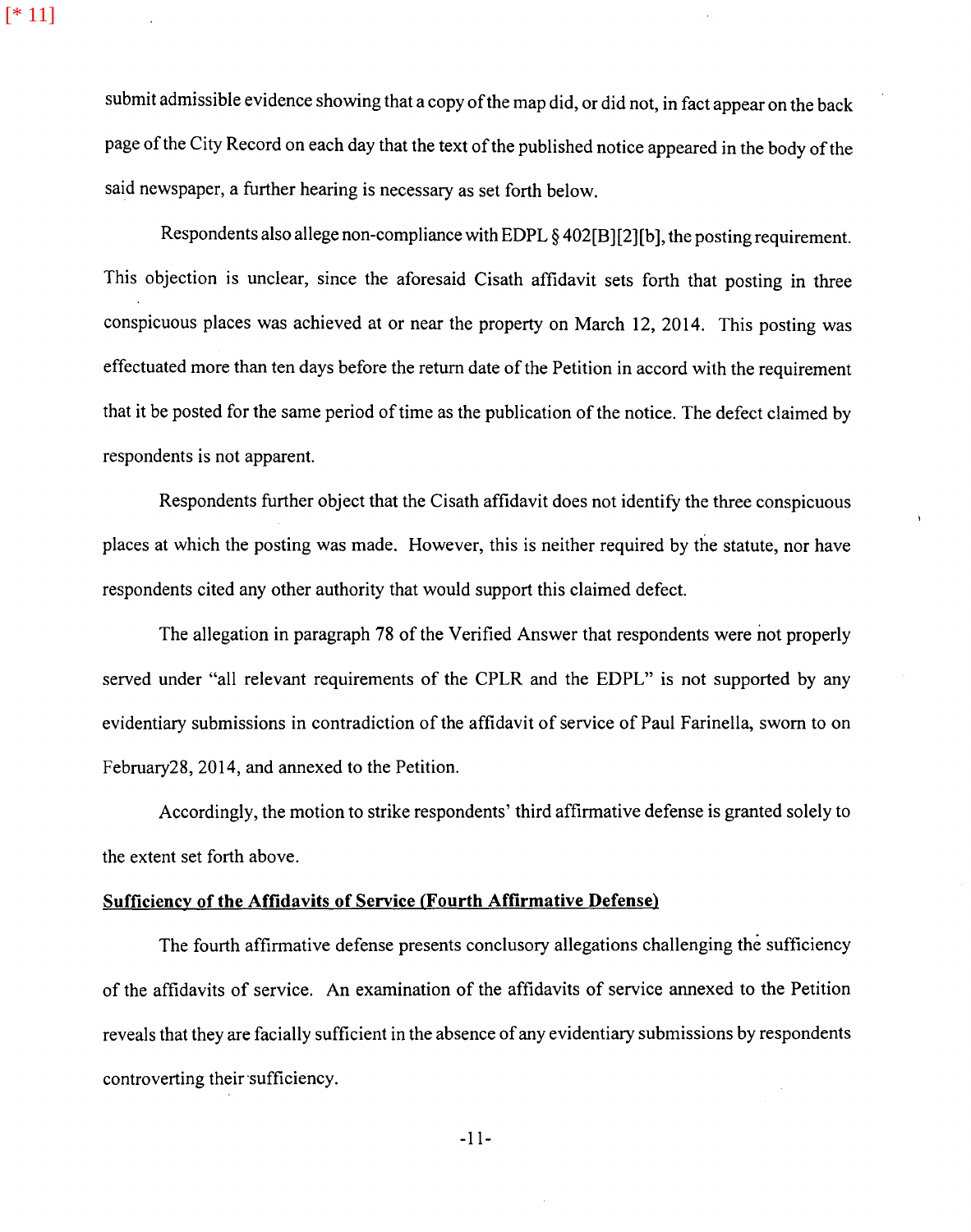submit admissible evidence showing that a copy of the map did, or did not, in fact appear on the back page of the City Record on each day that the text of the published notice appeared in the body of the said newspaper, a further hearing is necessary as set forth below.

Respondents also allege non-compliance with EDPL § 402[B][2][b], the posting requirement. This objection is unclear, since the aforesaid Cisath affidavit sets forth that posting in three conspicuous places was achieved at or near the property on March 12, 2014. This posting was effectuated more than ten days before the return date of the Petition in accord with the requirement that it be posted for the same period of time as the publication of the notice. The defect claimed by respondents is not apparent.

Respondents further object that the Cisath affidavit does not identify the three conspicuous places at which the posting was made. However, this is neither required by the statute, nor have respondents cited any other authority that would support this claimed defect.

The allegation in paragraph 78 of the Verified Answer that respondents were not properly served under "all relevant requirements of the CPLR and the EDPL" is not supported by any evidentiary submissions in contradiction of the affidavit of service of Paul Farinella, sworn to on February28, 2014, and annexed to the Petition.

Accordingly, the motion to strike respondents' third affirmative defense is granted solely to the extent set forth above.

## **Sufficiency of the Affidavits of Service (Fourth Affirmative Defense)**

The fourth affirmative defense presents conclusory allegations challenging the sufficiency of the affidavits of service. An examination of the affidavits of service annexed to the Petition reveals that they are facially sufficient in the absence of any evidentiary submissions by respondents controverting their sufficiency.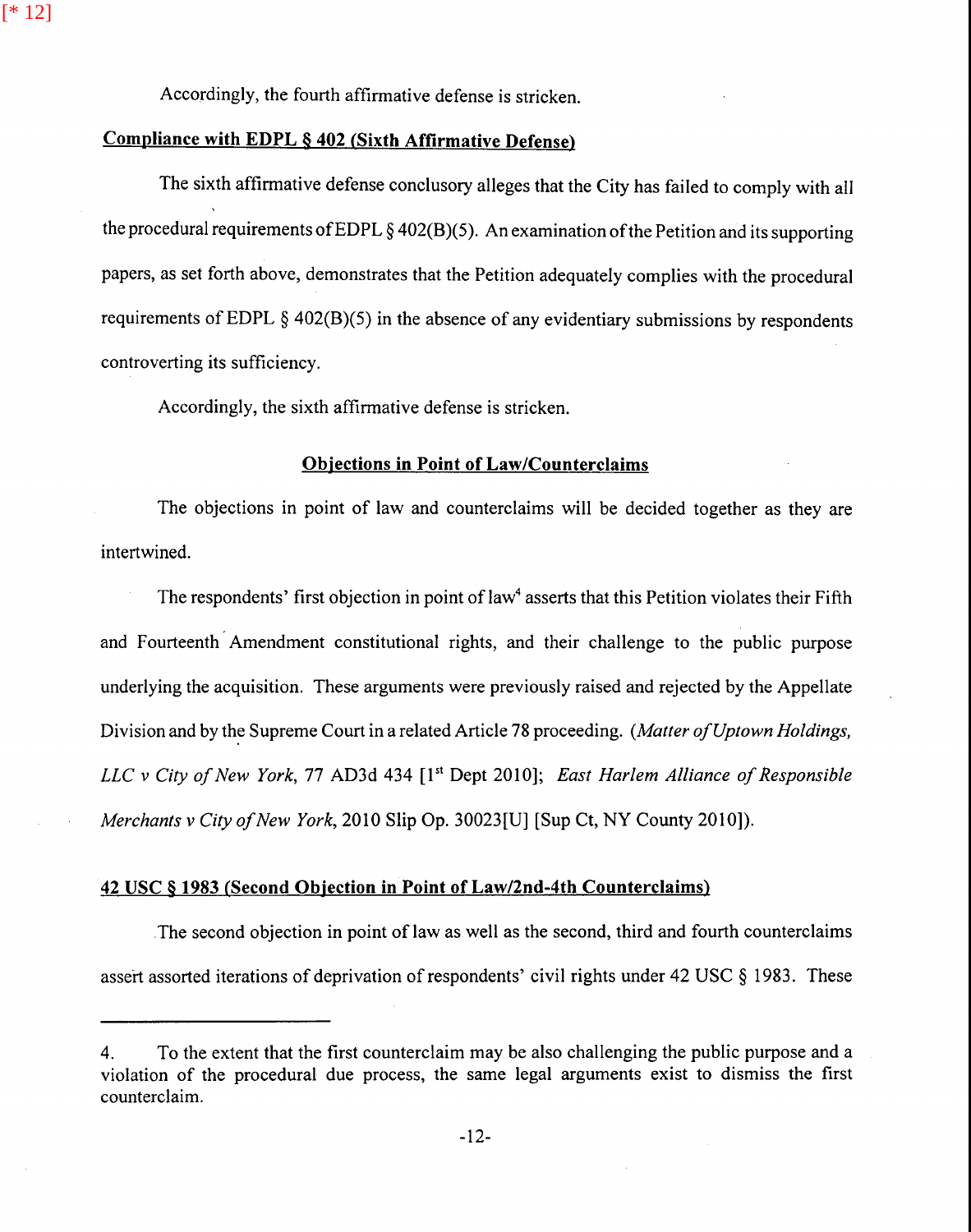Accordingly, the fourth affirmative defense is stricken.

### **Compliance with EDPL § 402 (Sixth Affirmative Defense)**

[\* 12]

The sixth affirmative defense conclusory alleges that the City has failed to comply with all the procedural requirements of EDPL  $\S$  402(B)(5). An examination of the Petition and its supporting papers, as set forth above, demonstrates that the Petition adequately complies with the procedural requirements of EDPL  $\S$  402(B)(5) in the absence of any evidentiary submissions by respondents controverting its sufficiency.

Accordingly, the sixth affirmative defense is stricken.

#### **Objections in Point of Law/Counterclaims**

The objections in point of law and counterclaims will be decided together as they are intertwined.

The respondents' first objection in point of law<sup>4</sup> asserts that this Petition violates their Fifth and Fourteenth Amendment constitutional rights, and their challenge to the public purpose underlying the acquisition. These arguments were previously raised and rejected by the Appellate Division and by the Supreme Court in a related Article 78 proceeding. *(Matter of Uptown Holdings, LLC v City of New York, 77 AD3d 434* [1<sup>st</sup> Dept 2010]; *East Harlem Alliance of Responsible Merchants v City of New York, 2010 Slip Op. 30023[U] [Sup Ct, NY County 2010]).* 

#### **42** USC § **1983 (Second Objection in Point of Law/2nd-4th Counterclaims)**

The second objection in point of law as well as the second, third and fourth counterclaims assert assorted iterations of deprivation of respondents' civil rights under 42 USC  $\S$  1983. These

<sup>4.</sup> To the extent that the first counterclaim may be also challenging the public purpose and a violation of the procedural due process, the same legal arguments exist to dismiss the first counterclaim.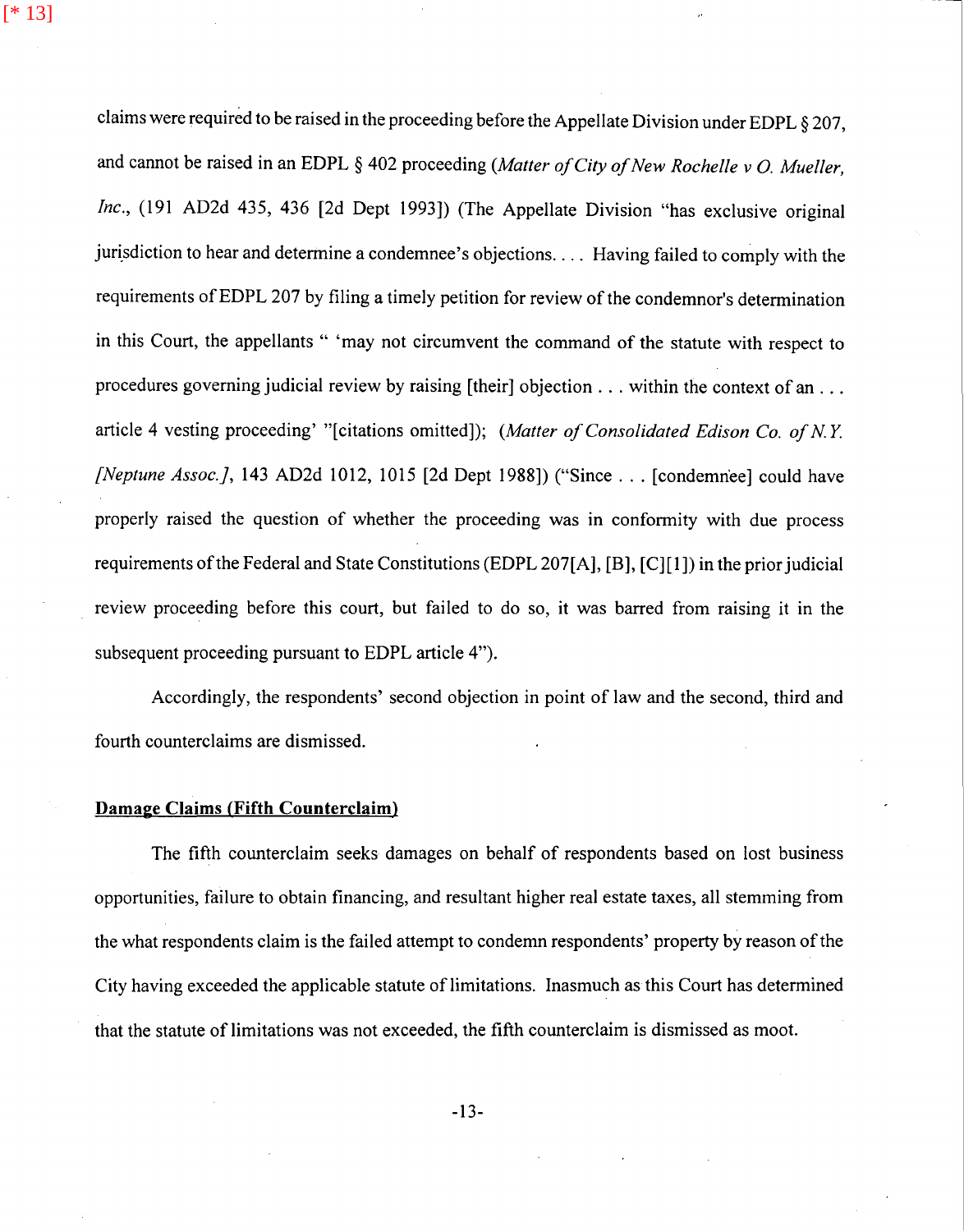[\* 13]

claims were required to be raised in the proceeding before the Appellate Division under EDPL § 207, and cannot be raised in an EDPL § 402 proceeding *(Matter of City of New Rochelle v 0. Mueller, Inc.,* (191 AD2d 435, 436 (2d Dept 1993]) (The Appellate Division "has exclusive original jurisdiction to hear and determine a condemnee's objections .... Having failed to comply with the requirements of EDPL 207 by filing a timely petition for review of the condemnor's determination in this Court, the appellants " 'may not circumvent the command of the statute with respect to procedures governing judicial review by raising [their] objection . . . within the context of an . . . article 4 vesting proceeding' "[citations omitted]); *(Matter of Consolidated Edison Co. of NY [Neptune Assoc.},* 143 AD2d 1012, 1015 [2d Dept 1988]) ("Since ... [condemn'ee] could have properly raised the question of whether the proceeding was in conformity with due process requirements of the Federal and State Constitutions (EDPL 207(A], [B], [C][l]) in the prior judicial review proceeding before this court, but failed to do so, it was barred from raising it in the subsequent proceeding pursuant to EDPL article 4").

Accordingly, the respondents' second objection in point of law and the second, third and fourth counterclaims are dismissed.

#### **Damage Claims (Fifth Counterclaim)**

The fifth counterclaim seeks damages on behalf of respondents based on lost business opportunities, failure to obtain financing, and resultant higher real estate taxes, all stemming from the what respondents claim is the failed attempt to condemn respondents' property by reason of the City having exceeded the applicable statute of limitations. Inasmuch as this Court has determined that the statute of limitations was not exceeded, the fifth counterclaim is dismissed as moot.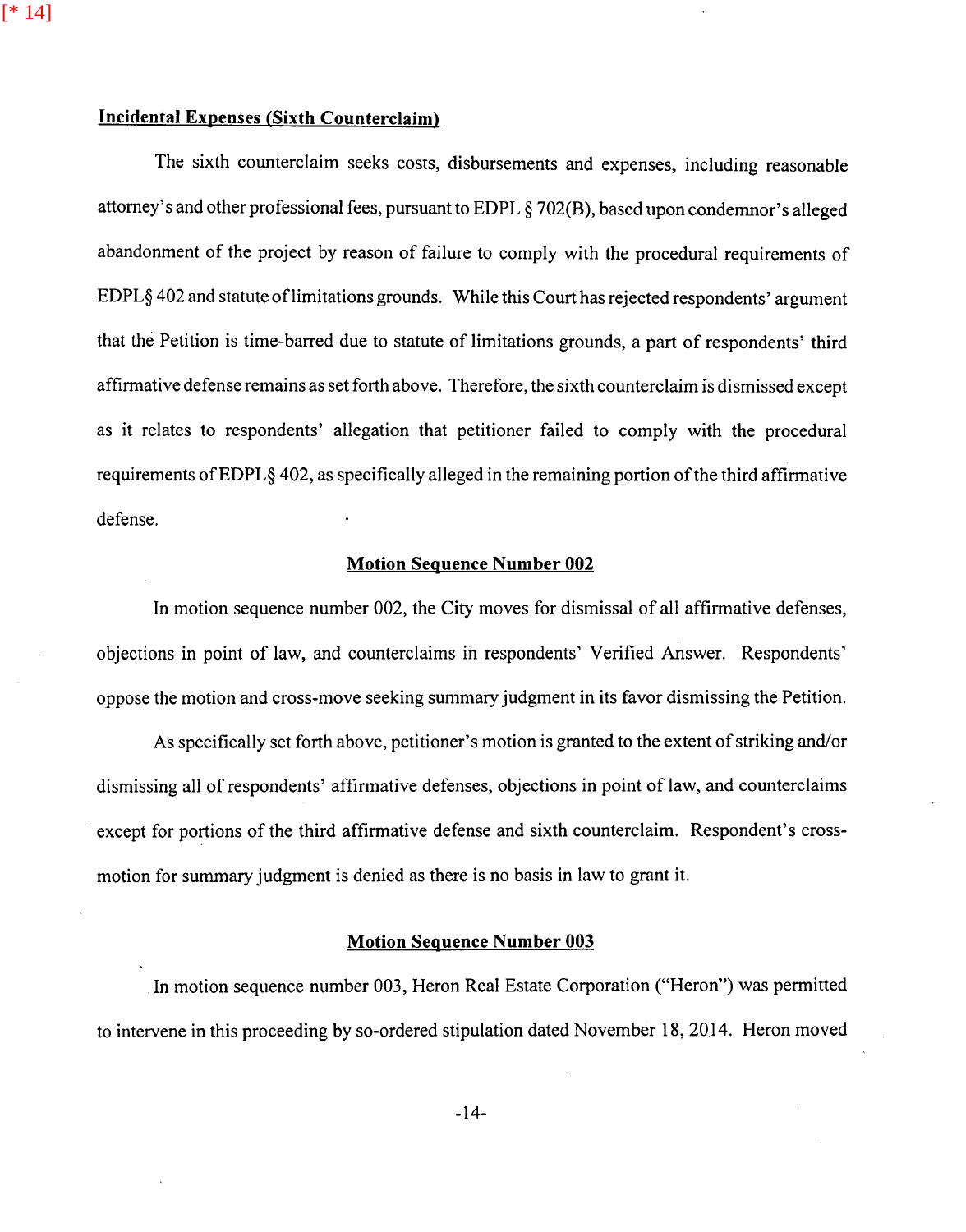[\* 14]

## Incidental Expenses (Sixth Counterclaim)

The sixth counterclaim seeks costs, disbursements and expenses, including reasonable attorney's and other professional fees, pursuant to EDPL *§* 702(B), based upon condemnor's alleged abandonment of the project by reason of failure to comply with the procedural requirements of EDPL§ 402 and statute oflimitations grounds. While this Court has rejected respondents' argument that the Petition is time-barred due to statute of limitations grounds, a part of respondents' third affirmative defense remains as set forth above. Therefore, the sixth counterclaim is dismissed except as it relates to respondents' allegation that petitioner failed to comply with the procedural requirements of EDPL§ 402, as specifically alleged in the remaining portion of the third affirmative defense.

#### Motion Sequence Number 002

In motion sequence number 002, the City moves for dismissal of all affirmative defenses, objections in point of law, and counterclaims in respondents' Verified Answer. Respondents' oppose the motion and cross-move seeking summary judgment in its favor dismissing the Petition.

As specifically set forth above, petitioner's motion is granted to the extent of striking and/or dismissing all of respondents' affirmative defenses, objections in point of law, and counterclaims except for portions of the third affirmative defense and sixth counterclaim. Respondent's crossmotion for summary judgment is denied as there is no basis in law to grant it.

#### Motion Sequence Number 003

In motion sequence number 003, Heron Real Estate Corporation ("Heron") was permitted to intervene in this proceeding by so-ordered stipulation dated November 18, 20.14. Heron moved